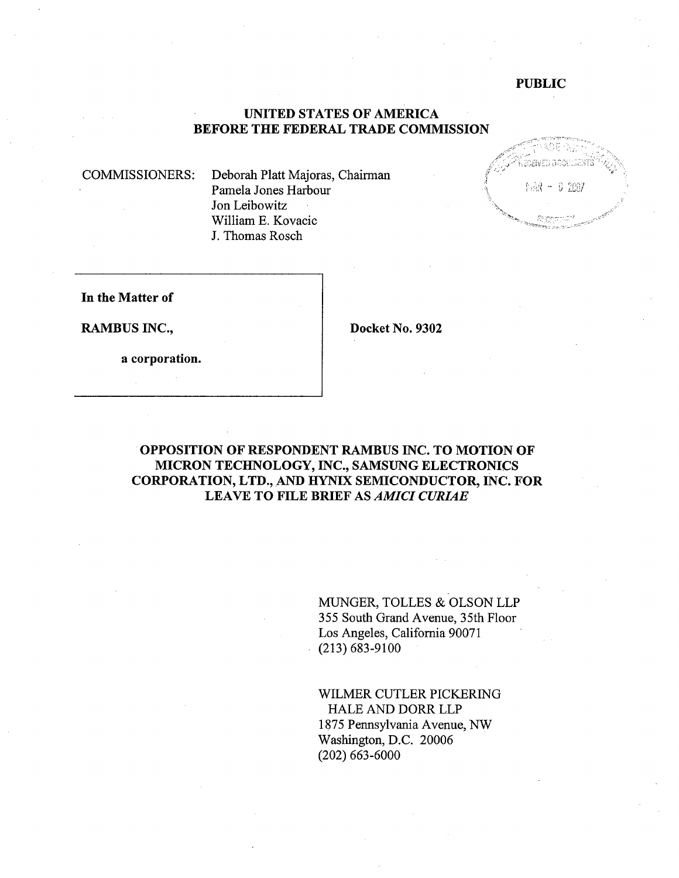#### PUBLIC

#### UNITED STATES OF AMERICA BEFORE THE FEDERAL TRADE COMMISSION

COMMISSIONERS: Deborah Platt Majoras, Chairman Pamela Jones Harbour Jon Leibowitz Willam E. Kovacic J. Thomas Rosch



In the Matter of

RAMBUS INC., Docket No. 9302

a corporation.

## OPPOSITION OF RESPONDENT RAMBUS INC. TO MOTION OF MICRON TECHNOLOGY, INC., SAMSUNG ELECTRONICS CORPORATION, LTD., AND HYIX SEMICONDUCTOR, INC. FOR LEAVE TO FILE BRIEF AS *AMICI CURIAE*

MUGER, TOLLES & OLSON LLP 355 South Grand Avenue, 35th Floor Los Angeles, California 90071 (213) 683-9100

WILMER CUTLER PICKERING HALE AND DORR LLP 1875 Pennsylvania Avenue, NW Washington, D.C. 20006 (202) 663-6000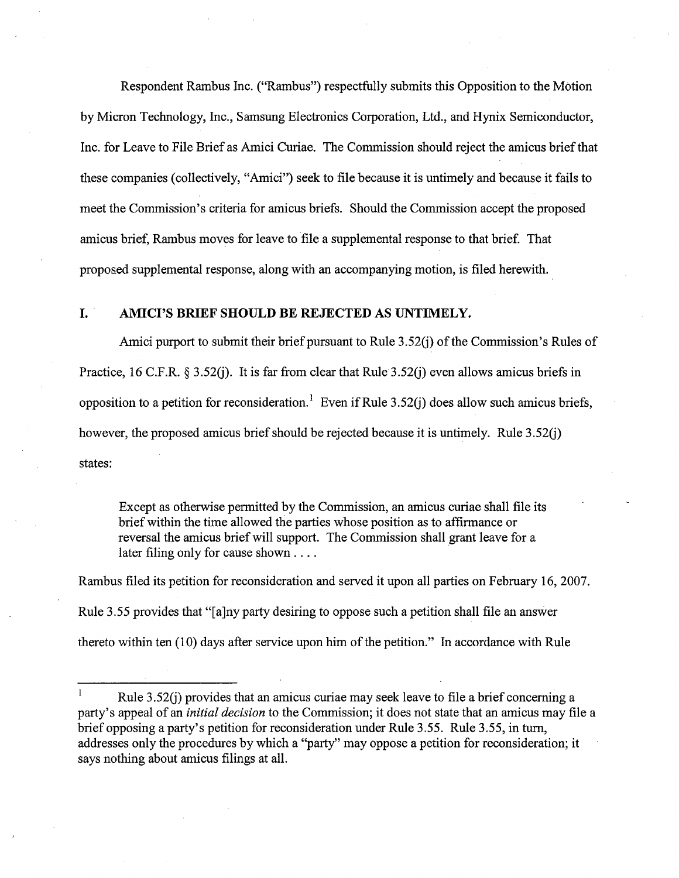Respondent Rambus Inc. ("Rambus") respectfully submits this Opposition to the Motion by Micron Technology, Inc., Samsung Electronics Corporation, Ltd. , and Hynix Semiconductor Inc. for Leave to File Brief as Amici Curiae. The Commission should reject the amicus briefthat these companies (collectively, "Amici") seek to fie because it is untimely and because it fails to meet the Commission's criteria for amicus briefs. Should the Commission accept the proposed amicus brief, Rambus moves for leave to file a supplemental response to that brief. That proposed supplemental response, along with an accompanying motion, is fied herewith.

#### I. . AMICI'S BRIEF SHOULD BE REJECTED AS UNTIMELY.

Amici purport to submit their brief pursuant to Rule  $3.52(j)$  of the Commission's Rules of Practice, 16 C.F.R. § 3.52(j). It is far from clear that Rule 3.52(j) even allows amicus briefs in opposition to a petition for reconsideration.<sup>1</sup> Even if Rule 3.52(j) does allow such amicus briefs, however, the proposed amicus brief should be rejected because it is untimely. Rule 3.52(j) states:

Except as otherwise permitted by the Commission, an amicus curiae shall file its brief within the time allowed the parties whose position as to affirmance or reversal the amicus brief will support. The Commission shall grant leave for a later filing only for cause shown....

Rambus fied its petition for reconsideration and served it upon all paries on February 16, 2007. Rule 3.55 provides that "(aJny party desiring to oppose such a petition shall fie an answer thereto within ten (10) days after service upon him of the petition." In accordance with Rule

Rule 3.52(j) provides that an amicus curae may seek leave to fie a brief concerning a party's appeal of an *initial decision* to the Commission; it does not state that an amicus may file a brief opposing a party's petition for reconsideration under Rule 3.55. Rule 3.55, in turn, addresses only the procedures by which a "party" may oppose a petition for reconsideration; it says nothing about amicus fiings at all.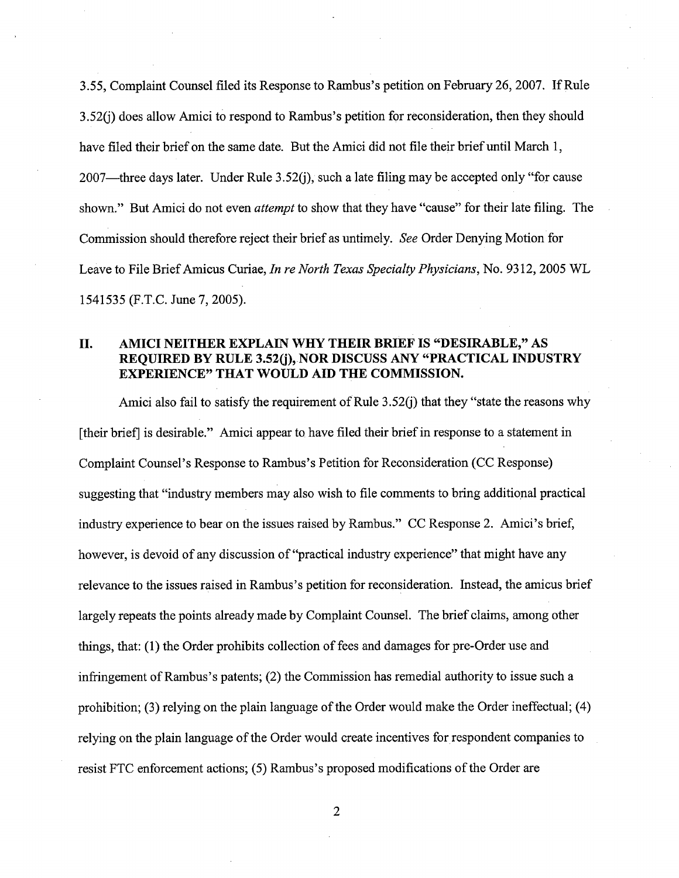3.55, Complaint Counsel filed its Response to Rambus's petition on February 26, 2007. If Rule 3.52(j) does allow Amici to respond to Rambus's petition for reconsideration, then they should have filed their brief on the same date. But the Amici did not file their brief until March 1, 2007—three days later. Under Rule 3.52(j), such a late filing may be accepted only "for cause shown." But Amici do not even *attempt* to show that they have "cause" for their late filing. The Commission should therefore reject their brief as untimely. See Order Denying Motion for Leave to File Brief Amicus Curiae, In re North Texas Specialty Physicians, No. 9312, 2005 WL 1541535 (F.T.C. June 7, 2005).

### II. AMICI NEITHER EXPLAIN WHY THEIR BRIEF IS "DESIRABLE," AS REQUIRED BY RULE 3.52(j), NOR DISCUSS ANY "PRACTICAL INDUSTRY EXPERIENCE" THAT WOULD AID THE COMMISSION.

Amici also fail to satisfy the requirement of Rule 3.52(j) that they "state the reasons why (their brief) is desirable." Amici appear to have fied their brief in response to a statement in Complaint Counsel's Response to Rambus's Petition for Reconsideration (CC Response) suggesting that "industry members may also wish to fie comments to bring additional practical industry experience to bear on the issues raised by Rambus." CC Response 2. Amici's brief, however, is devoid of any discussion of "practical industry experience" that might have any relevance to the issues raised in Rambus's petition for reconsideration. Instead, the amicus brief largely repeats the points already made by Complaint Counsel. The brief claims, among other things, that: (1) the Order prohibits collection of fees and damages for pre-Order use and infringement of Rambus's patents; (2) the Commission has remedial authority to issue such a prohibition; (3) relying on the plain language of the Order would make the Order ineffectual; (4) relying on the plain language of the Order would create incentives for respondent companies to resist FTC enforcement actions; (5) Rambus's proposed modifications of the Order are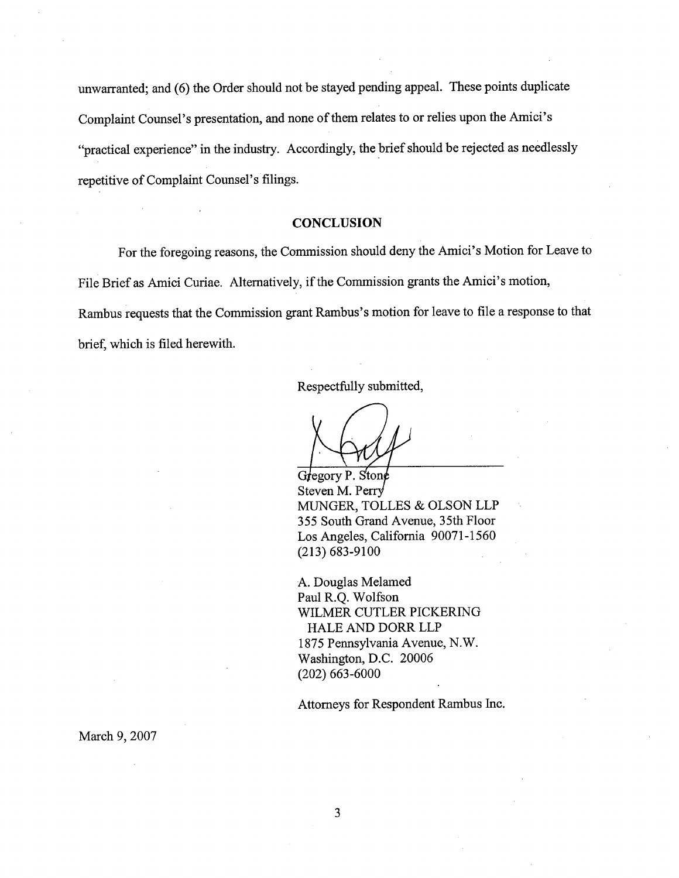unwarranted; and (6) the Order should not be stayed pending appeal. These points duplicate Complaint Counsel's presentation, and none of them relates to or relies upon the Amici's "practical experience" in the industry. Accordingly, the brief should be rejected as needlessly repetitive of Complaint Counsel's filings.

#### **CONCLUSION**

For the foregoing reasons, the Commission should deny the Amici's Motion for Leave to File Brief as Amici Curiae. Alternatively, if the Commission grants the Amici's motion, Rambus requests that the Commission grant Rambus's motion for leave to file a response to that brief, which is fied herewith.

Respectfully submitted

Gregory P. Stone Steven M. Perry MUGER, TOLLES & OLSON LLP 355 South Grand Avenue, 35th Floor Los Angeles, California 90071-1560 (213) 683-9100

A. Douglas Melamed Paul R.Q. Wolfson WILMER CUTLER PICKERING HALE AND DORR LLP 1875 Pennsylvania Avenue, N. Washington, D.C. 20006 (202) 663-6000

Attorneys for Respondent Rambus Inc.

March 9, 2007